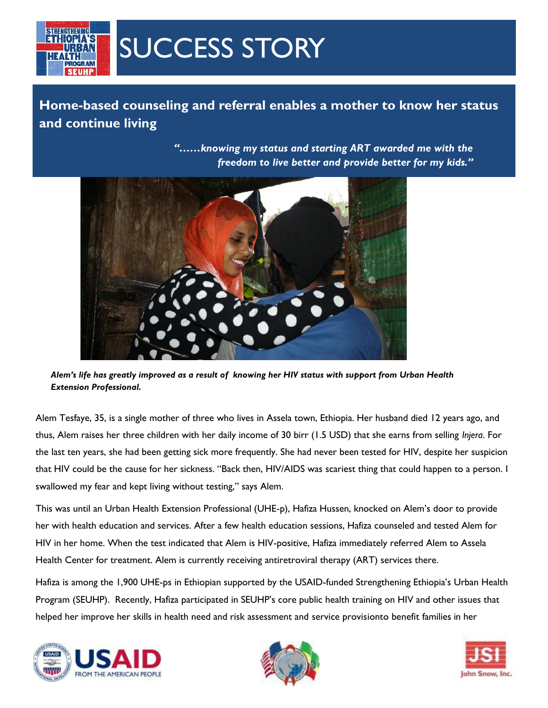

## SUCCESS STORY

**Home-based counseling and referral enables a mother to know her status and continue living**

> *"……knowing my status and starting ART awarded me with the freedom to live better and provide better for my kids."*



*Alem's life has greatly improved as a result of knowing her HIV status with support from Urban Health Extension Professional.*

Alem Tesfaye, 35, is a single mother of three who lives in Assela town, Ethiopia. Her husband died 12 years ago, and thus, Alem raises her three children with her daily income of 30 birr (1.5 USD) that she earns from selling *Injera*. For the last ten years, she had been getting sick more frequently. She had never been tested for HIV, despite her suspicion that HIV could be the cause for her sickness. "Back then, HIV/AIDS was scariest thing that could happen to a person. I swallowed my fear and kept living without testing," says Alem.

This was until an Urban Health Extension Professional (UHE-p), Hafiza Hussen, knocked on Alem's door to provide her with health education and services. After a few health education sessions, Hafiza counseled and tested Alem for HIV in her home. When the test indicated that Alem is HIV-positive, Hafiza immediately referred Alem to Assela Health Center for treatment. Alem is currently receiving antiretroviral therapy (ART) services there.

Hafiza is among the 1,900 UHE-ps in Ethiopian supported by the USAID-funded Strengthening Ethiopia's Urban Health Program (SEUHP). Recently, Hafiza participated in SEUHP's core public health training on HIV and other issues that helped her improve her skills in health need and risk assessment and service provisionto benefit families in her